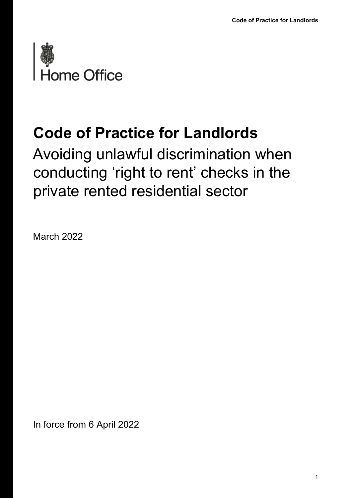

## **Code of Practice for Landlords**

Avoiding unlawful discrimination when conducting 'right to rent' checks in the private rented residential sector

March 2022

In force from 6 April 2022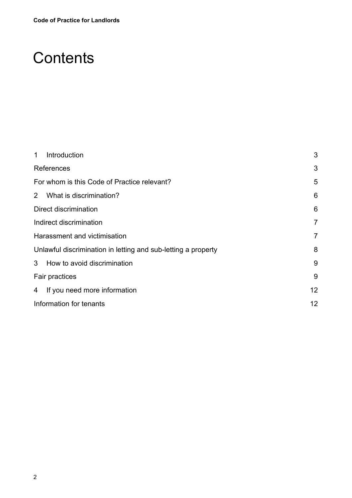## **Contents**

| $\mathbf 1$                                                   | Introduction                  | 3               |
|---------------------------------------------------------------|-------------------------------|-----------------|
|                                                               | References                    | 3               |
| For whom is this Code of Practice relevant?                   |                               | 5               |
| $2^{\circ}$                                                   | What is discrimination?       | 6               |
|                                                               | Direct discrimination         | $6\phantom{1}6$ |
| Indirect discrimination                                       |                               | 7               |
| Harassment and victimisation                                  |                               | 7               |
| Unlawful discrimination in letting and sub-letting a property |                               | 8               |
|                                                               | 3 How to avoid discrimination | 9               |
| Fair practices                                                |                               | 9               |
| 4                                                             | If you need more information  | 12              |
| Information for tenants                                       |                               | 12              |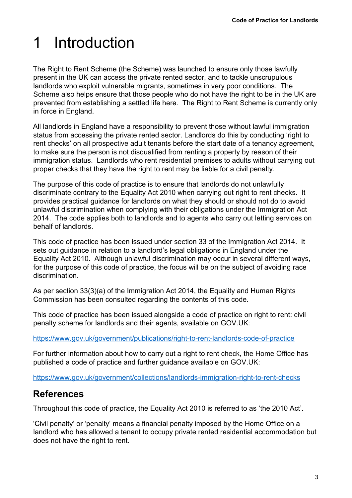# <span id="page-2-0"></span>1 Introduction

The Right to Rent Scheme (the Scheme) was launched to ensure only those lawfully present in the UK can access the private rented sector, and to tackle unscrupulous landlords who exploit vulnerable migrants, sometimes in very poor conditions. The Scheme also helps ensure that those people who do not have the right to be in the UK are prevented from establishing a settled life here. The Right to Rent Scheme is currently only in force in England.

All landlords in England have a responsibility to prevent those without lawful immigration status from accessing the private rented sector. Landlords do this by conducting 'right to rent checks' on all prospective adult tenants before the start date of a tenancy agreement, to make sure the person is not disqualified from renting a property by reason of their immigration status. Landlords who rent residential premises to adults without carrying out proper checks that they have the right to rent may be liable for a civil penalty.

The purpose of this code of practice is to ensure that landlords do not unlawfully discriminate contrary to the Equality Act 2010 when carrying out right to rent checks. It provides practical guidance for landlords on what they should or should not do to avoid unlawful discrimination when complying with their obligations under the Immigration Act 2014. The code applies both to landlords and to agents who carry out letting services on behalf of landlords.

This code of practice has been issued under section 33 of the Immigration Act 2014. It sets out guidance in relation to a landlord's legal obligations in England under the Equality Act 2010. Although unlawful discrimination may occur in several different ways, for the purpose of this code of practice, the focus will be on the subject of avoiding race discrimination.

As per section 33(3)(a) of the Immigration Act 2014, the Equality and Human Rights Commission has been consulted regarding the contents of this code.

This code of practice has been issued alongside a code of practice on right to rent: civil penalty scheme for landlords and their agents, available on GOV.UK:

<https://www.gov.uk/government/publications/right-to-rent-landlords-code-of-practice>

For further information about how to carry out a right to rent check, the Home Office has published a code of practice and further guidance available on GOV.UK:

<https://www.gov.uk/government/collections/landlords-immigration-right-to-rent-checks>

### <span id="page-2-1"></span>**References**

Throughout this code of practice, the Equality Act 2010 is referred to as 'the 2010 Act'.

'Civil penalty' or 'penalty' means a financial penalty imposed by the Home Office on a landlord who has allowed a tenant to occupy private rented residential accommodation but does not have the right to rent.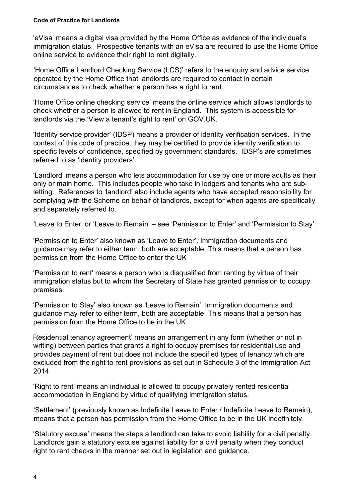#### **Code of Practice for Landlords**

'eVisa' means a digital visa provided by the Home Office as evidence of the individual's immigration status. Prospective tenants with an eVisa are required to use the Home Office online service to evidence their right to rent digitally.

'Home Office Landlord Checking Service (LCS)' refers to the enquiry and advice service operated by the Home Office that landlords are required to contact in certain circumstances to check whether a person has a right to rent.

'Home Office online checking service' means the online service which allows landlords to check whether a person is allowed to rent in England. This system is accessible for landlords via the 'View a tenant's right to rent' on GOV.UK.

'Identity service provider' (IDSP) means a provider of identity verification services. In the context of this code of practice, they may be certified to provide identity verification to specific levels of confidence, specified by government standards. IDSP's are sometimes referred to as 'identity providers'.

'Landlord' means a person who lets accommodation for use by one or more adults as their only or main home. This includes people who take in lodgers and tenants who are subletting. References to 'landlord' also include agents who have accepted responsibility for complying with the Scheme on behalf of landlords, except for when agents are specifically and separately referred to.

'Leave to Enter' or 'Leave to Remain' – see 'Permission to Enter' and 'Permission to Stay'.

'Permission to Enter' also known as 'Leave to Enter'. Immigration documents and guidance may refer to either term, both are acceptable. This means that a person has permission from the Home Office to enter the UK

'Permission to rent' means a person who is disqualified from renting by virtue of their immigration status but to whom the Secretary of State has granted permission to occupy premises.

'Permission to Stay' also known as 'Leave to Remain'. Immigration documents and guidance may refer to either term, both are acceptable. This means that a person has permission from the Home Office to be in the UK.

Residential tenancy agreement' means an arrangement in any form (whether or not in writing) between parties that grants a right to occupy premises for residential use and provides payment of rent but does not include the specified types of tenancy which are excluded from the right to rent provisions as set out in Schedule 3 of the Immigration Act 2014.

'Right to rent' means an individual is allowed to occupy privately rented residential accommodation in England by virtue of qualifying immigration status.

'Settlement' (previously known as Indefinite Leave to Enter / Indefinite Leave to Remain), means that a person has permission from the Home Office to be in the UK indefinitely.

'Statutory excuse' means the steps a landlord can take to avoid liability for a civil penalty. Landlords gain a statutory excuse against liability for a civil penalty when they conduct right to rent checks in the manner set out in legislation and guidance.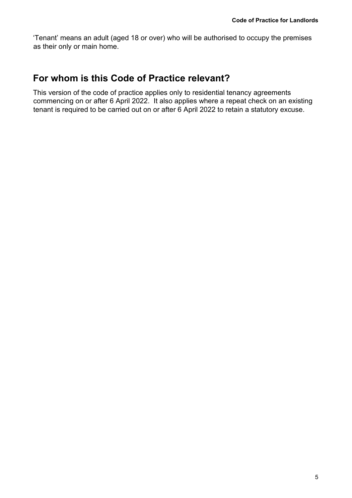'Tenant' means an adult (aged 18 or over) who will be authorised to occupy the premises as their only or main home.

#### <span id="page-4-0"></span>**For whom is this Code of Practice relevant?**

This version of the code of practice applies only to residential tenancy agreements commencing on or after 6 April 2022. It also applies where a repeat check on an existing tenant is required to be carried out on or after 6 April 2022 to retain a statutory excuse.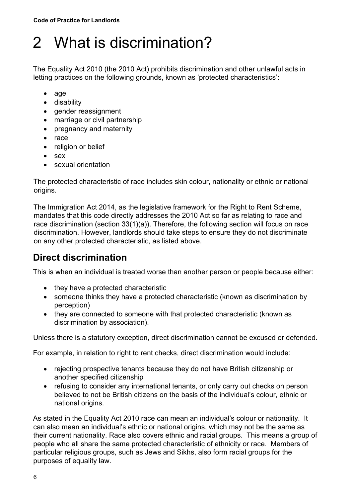# <span id="page-5-0"></span>2 What is discrimination?

The Equality Act 2010 (the 2010 Act) prohibits discrimination and other unlawful acts in letting practices on the following grounds, known as 'protected characteristics':

- age
- disability
- gender reassignment
- marriage or civil partnership
- pregnancy and maternity
- race
- religion or belief
- sex
- sexual orientation

The protected characteristic of race includes skin colour, nationality or ethnic or national origins.

The Immigration Act 2014, as the legislative framework for the Right to Rent Scheme, mandates that this code directly addresses the 2010 Act so far as relating to race and race discrimination (section 33(1)(a)). Therefore, the following section will focus on race discrimination. However, landlords should take steps to ensure they do not discriminate on any other protected characteristic, as listed above.

## <span id="page-5-1"></span>**Direct discrimination**

This is when an individual is treated worse than another person or people because either:

- they have a protected characteristic
- someone thinks they have a protected characteristic (known as discrimination by perception)
- they are connected to someone with that protected characteristic (known as discrimination by association).

Unless there is a statutory exception, direct discrimination cannot be excused or defended.

For example, in relation to right to rent checks, direct discrimination would include:

- rejecting prospective tenants because they do not have British citizenship or another specified citizenship
- refusing to consider any international tenants, or only carry out checks on person believed to not be British citizens on the basis of the individual's colour, ethnic or national origins.

As stated in the Equality Act 2010 race can mean an individual's colour or nationality. It can also mean an individual's ethnic or national origins, which may not be the same as their current nationality. Race also covers ethnic and racial groups. This means a group of people who all share the same protected characteristic of ethnicity or race. Members of particular religious groups, such as Jews and Sikhs, also form racial groups for the purposes of equality law.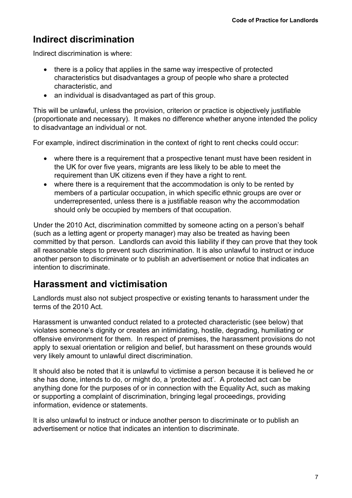## <span id="page-6-0"></span>**Indirect discrimination**

Indirect discrimination is where:

- there is a policy that applies in the same way irrespective of protected characteristics but disadvantages a group of people who share a protected characteristic, and
- an individual is disadvantaged as part of this group.

This will be unlawful, unless the provision, criterion or practice is objectively justifiable (proportionate and necessary). It makes no difference whether anyone intended the policy to disadvantage an individual or not.

For example, indirect discrimination in the context of right to rent checks could occur:

- where there is a requirement that a prospective tenant must have been resident in the UK for over five years, migrants are less likely to be able to meet the requirement than UK citizens even if they have a right to rent.
- where there is a requirement that the accommodation is only to be rented by members of a particular occupation, in which specific ethnic groups are over or underrepresented, unless there is a justifiable reason why the accommodation should only be occupied by members of that occupation.

Under the 2010 Act, discrimination committed by someone acting on a person's behalf (such as a letting agent or property manager) may also be treated as having been committed by that person. Landlords can avoid this liability if they can prove that they took all reasonable steps to prevent such discrimination. It is also unlawful to instruct or induce another person to discriminate or to publish an advertisement or notice that indicates an intention to discriminate.

#### <span id="page-6-1"></span>**Harassment and victimisation**

Landlords must also not subject prospective or existing tenants to harassment under the terms of the 2010 Act.

Harassment is unwanted conduct related to a protected characteristic (see below) that violates someone's dignity or creates an intimidating, hostile, degrading, humiliating or offensive environment for them. In respect of premises, the harassment provisions do not apply to sexual orientation or religion and belief, but harassment on these grounds would very likely amount to unlawful direct discrimination.

It should also be noted that it is unlawful to victimise a person because it is believed he or she has done, intends to do, or might do, a 'protected act'. A protected act can be anything done for the purposes of or in connection with the Equality Act, such as making or supporting a complaint of discrimination, bringing legal proceedings, providing information, evidence or statements.

It is also unlawful to instruct or induce another person to discriminate or to publish an advertisement or notice that indicates an intention to discriminate.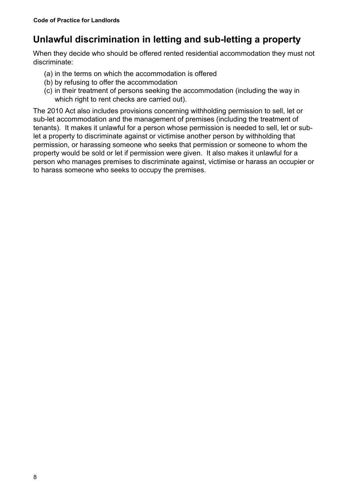## <span id="page-7-0"></span>**Unlawful discrimination in letting and sub-letting a property**

When they decide who should be offered rented residential accommodation they must not discriminate:

- (a) in the terms on which the accommodation is offered
- (b) by refusing to offer the accommodation
- (c) in their treatment of persons seeking the accommodation (including the way in which right to rent checks are carried out).

The 2010 Act also includes provisions concerning withholding permission to sell, let or sub-let accommodation and the management of premises (including the treatment of tenants). It makes it unlawful for a person whose permission is needed to sell, let or sublet a property to discriminate against or victimise another person by withholding that permission, or harassing someone who seeks that permission or someone to whom the property would be sold or let if permission were given. It also makes it unlawful for a person who manages premises to discriminate against, victimise or harass an occupier or to harass someone who seeks to occupy the premises.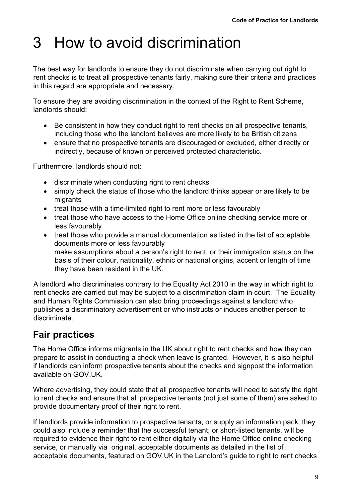## <span id="page-8-0"></span>3 How to avoid discrimination

The best way for landlords to ensure they do not discriminate when carrying out right to rent checks is to treat all prospective tenants fairly, making sure their criteria and practices in this regard are appropriate and necessary.

To ensure they are avoiding discrimination in the context of the Right to Rent Scheme, landlords should:

- Be consistent in how they conduct right to rent checks on all prospective tenants, including those who the landlord believes are more likely to be British citizens
- ensure that no prospective tenants are discouraged or excluded, either directly or indirectly, because of known or perceived protected characteristic.

Furthermore, landlords should not:

- discriminate when conducting right to rent checks
- simply check the status of those who the landlord thinks appear or are likely to be migrants
- treat those with a time-limited right to rent more or less favourably
- treat those who have access to the Home Office online checking service more or less favourably
- treat those who provide a manual documentation as listed in the list of acceptable documents more or less favourably make assumptions about a person's right to rent, or their immigration status on the basis of their colour, nationality, ethnic or national origins, accent or length of time they have been resident in the UK.

A landlord who discriminates contrary to the Equality Act 2010 in the way in which right to rent checks are carried out may be subject to a discrimination claim in court. The Equality and Human Rights Commission can also bring proceedings against a landlord who publishes a discriminatory advertisement or who instructs or induces another person to discriminate.

### <span id="page-8-1"></span>**Fair practices**

The Home Office informs migrants in the UK about right to rent checks and how they can prepare to assist in conducting a check when leave is granted. However, it is also helpful if landlords can inform prospective tenants about the checks and signpost the information available on GOV.UK.

Where advertising, they could state that all prospective tenants will need to satisfy the right to rent checks and ensure that all prospective tenants (not just some of them) are asked to provide documentary proof of their right to rent.

If landlords provide information to prospective tenants, or supply an information pack, they could also include a reminder that the successful tenant, or short-listed tenants, will be required to evidence their right to rent either digitally via the Home Office online checking service, or manually via original, acceptable documents as detailed in the list of acceptable documents, featured on GOV.UK in the Landlord's guide to right to rent checks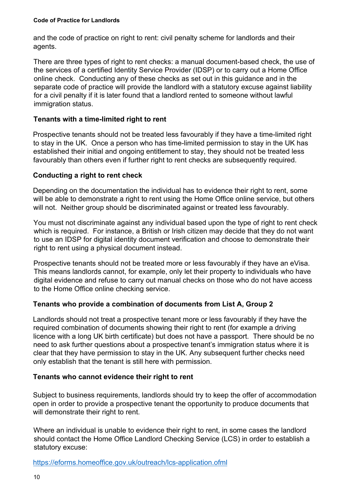and the code of practice on right to rent: civil penalty scheme for landlords and their agents.

There are three types of right to rent checks: a manual document-based check, the use of the services of a certified Identity Service Provider (IDSP) or to carry out a Home Office online check. Conducting any of these checks as set out in this guidance and in the separate code of practice will provide the landlord with a statutory excuse against liability for a civil penalty if it is later found that a landlord rented to someone without lawful immigration status.

#### **Tenants with a time-limited right to rent**

Prospective tenants should not be treated less favourably if they have a time-limited right to stay in the UK. Once a person who has time-limited permission to stay in the UK has established their initial and ongoing entitlement to stay, they should not be treated less favourably than others even if further right to rent checks are subsequently required.

#### **Conducting a right to rent check**

Depending on the documentation the individual has to evidence their right to rent, some will be able to demonstrate a right to rent using the Home Office online service, but others will not. Neither group should be discriminated against or treated less favourably.

You must not discriminate against any individual based upon the type of right to rent check which is required. For instance, a British or Irish citizen may decide that they do not want to use an IDSP for digital identity document verification and choose to demonstrate their right to rent using a physical document instead.

Prospective tenants should not be treated more or less favourably if they have an eVisa. This means landlords cannot, for example, only let their property to individuals who have digital evidence and refuse to carry out manual checks on those who do not have access to the Home Office online checking service.

#### **Tenants who provide a combination of documents from List A, Group 2**

Landlords should not treat a prospective tenant more or less favourably if they have the required combination of documents showing their right to rent (for example a driving licence with a long UK birth certificate) but does not have a passport. There should be no need to ask further questions about a prospective tenant's immigration status where it is clear that they have permission to stay in the UK. Any subsequent further checks need only establish that the tenant is still here with permission.

#### **Tenants who cannot evidence their right to rent**

Subject to business requirements, landlords should try to keep the offer of accommodation open in order to provide a prospective tenant the opportunity to produce documents that will demonstrate their right to rent.

Where an individual is unable to evidence their right to rent, in some cases the landlord should contact the Home Office Landlord Checking Service (LCS) in order to establish a statutory excuse:

<https://eforms.homeoffice.gov.uk/outreach/lcs-application.ofml>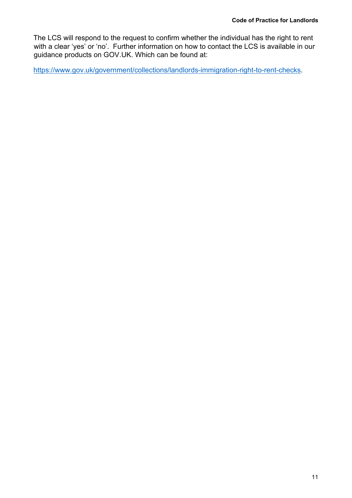The LCS will respond to the request to confirm whether the individual has the right to rent with a clear 'yes' or 'no'. Further information on how to contact the LCS is available in our guidance products on GOV.UK. Which can be found at:

[https://www.gov.uk/government/collections/landlords-immigration-right-to-rent-checks.](https://www.gov.uk/government/collections/landlords-immigration-right-to-rent-checks)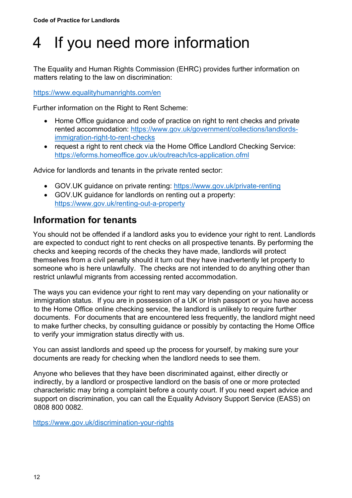# <span id="page-11-0"></span>4 If you need more information

The [Equality and Human Rights Commission](http://www.equalityhumanrights.com/) (EHRC) provides further information on matters relating to the law on discrimination:

<https://www.equalityhumanrights.com/en>

Further information on the Right to Rent Scheme:

- Home Office guidance and code of practice on right to rent checks and private rented accommodation: [https://www.gov.uk/government/collections/landlords](https://www.gov.uk/government/collections/landlords-immigration-right-to-rent-checks)[immigration-right-to-rent-checks](https://www.gov.uk/government/collections/landlords-immigration-right-to-rent-checks)
- request a right to rent check via the Home Office Landlord Checking Service: <https://eforms.homeoffice.gov.uk/outreach/lcs-application.ofml>

Advice for landlords and tenants in the private rented sector:

- GOV.UK guidance on private renting:<https://www.gov.uk/private-renting>
- GOV.UK guidance for landlords on renting out a property: <https://www.gov.uk/renting-out-a-property>

### <span id="page-11-1"></span>**Information for tenants**

You should not be offended if a landlord asks you to evidence your right to rent. Landlords are expected to conduct right to rent checks on all prospective tenants. By performing the checks and keeping records of the checks they have made, landlords will protect themselves from a civil penalty should it turn out they have inadvertently let property to someone who is here unlawfully. The checks are not intended to do anything other than restrict unlawful migrants from accessing rented accommodation.

The ways you can evidence your right to rent may vary depending on your nationality or immigration status. If you are in possession of a UK or Irish passport or you have access to the Home Office online checking service, the landlord is unlikely to require further documents. For documents that are encountered less frequently, the landlord might need to make further checks, by consulting guidance or possibly by contacting the Home Office to verify your immigration status directly with us.

You can assist landlords and speed up the process for yourself, by making sure your documents are ready for checking when the landlord needs to see them.

Anyone who believes that they have been discriminated against, either directly or indirectly, by a landlord or prospective landlord on the basis of one or more protected characteristic may bring a complaint before a county court. If you need expert advice and support on discrimination, you can call the Equality Advisory Support Service (EASS) on 0808 800 0082.

<https://www.gov.uk/discrimination-your-rights>